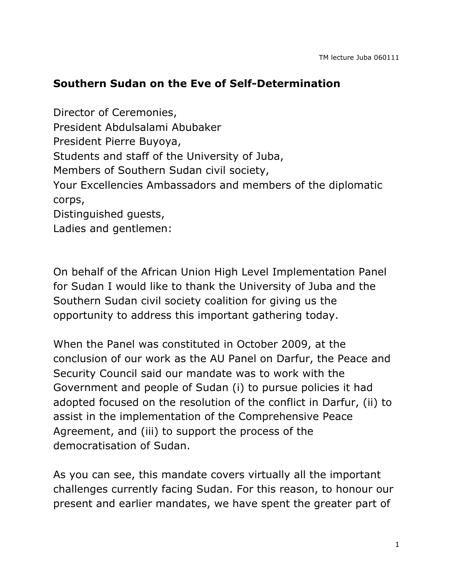## **Southern Sudan on the Eve of Self-Determination**

Director of Ceremonies, President Abdulsalami Abubaker President Pierre Buyoya, Students and staff of the University of Juba, Members of Southern Sudan civil society, Your Excellencies Ambassadors and members of the diplomatic corps, Distinguished guests, Ladies and gentlemen:

On behalf of the African Union High Level Implementation Panel for Sudan I would like to thank the University of Juba and the Southern Sudan civil society coalition for giving us the opportunity to address this important gathering today.

When the Panel was constituted in October 2009, at the conclusion of our work as the AU Panel on Darfur, the Peace and Security Council said our mandate was to work with the Government and people of Sudan (i) to pursue policies it had adopted focused on the resolution of the conflict in Darfur, (ii) to assist in the implementation of the Comprehensive Peace Agreement, and (iii) to support the process of the democratisation of Sudan.

As you can see, this mandate covers virtually all the important challenges currently facing Sudan. For this reason, to honour our present and earlier mandates, we have spent the greater part of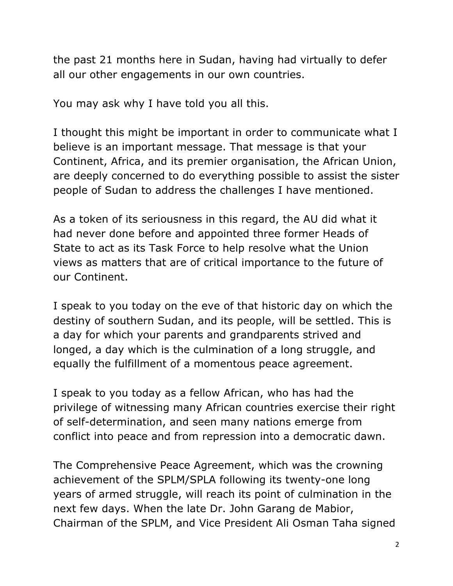the past 21 months here in Sudan, having had virtually to defer all our other engagements in our own countries.

You may ask why I have told you all this.

I thought this might be important in order to communicate what I believe is an important message. That message is that your Continent, Africa, and its premier organisation, the African Union, are deeply concerned to do everything possible to assist the sister people of Sudan to address the challenges I have mentioned.

As a token of its seriousness in this regard, the AU did what it had never done before and appointed three former Heads of State to act as its Task Force to help resolve what the Union views as matters that are of critical importance to the future of our Continent.

I speak to you today on the eve of that historic day on which the destiny of southern Sudan, and its people, will be settled. This is a day for which your parents and grandparents strived and longed, a day which is the culmination of a long struggle, and equally the fulfillment of a momentous peace agreement.

I speak to you today as a fellow African, who has had the privilege of witnessing many African countries exercise their right of self-determination, and seen many nations emerge from conflict into peace and from repression into a democratic dawn.

The Comprehensive Peace Agreement, which was the crowning achievement of the SPLM/SPLA following its twenty-one long years of armed struggle, will reach its point of culmination in the next few days. When the late Dr. John Garang de Mabior, Chairman of the SPLM, and Vice President Ali Osman Taha signed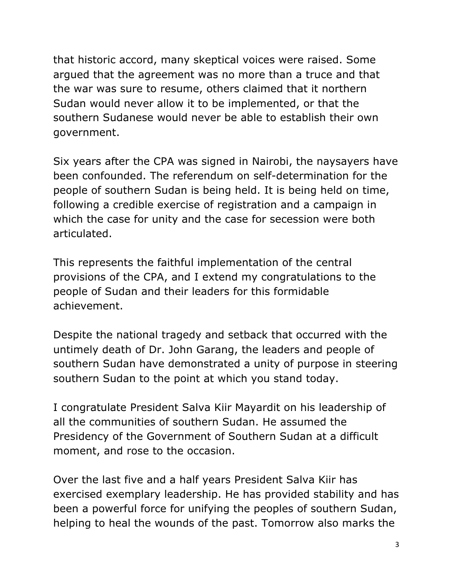that historic accord, many skeptical voices were raised. Some argued that the agreement was no more than a truce and that the war was sure to resume, others claimed that it northern Sudan would never allow it to be implemented, or that the southern Sudanese would never be able to establish their own government.

Six years after the CPA was signed in Nairobi, the naysayers have been confounded. The referendum on self-determination for the people of southern Sudan is being held. It is being held on time, following a credible exercise of registration and a campaign in which the case for unity and the case for secession were both articulated.

This represents the faithful implementation of the central provisions of the CPA, and I extend my congratulations to the people of Sudan and their leaders for this formidable achievement.

Despite the national tragedy and setback that occurred with the untimely death of Dr. John Garang, the leaders and people of southern Sudan have demonstrated a unity of purpose in steering southern Sudan to the point at which you stand today.

I congratulate President Salva Kiir Mayardit on his leadership of all the communities of southern Sudan. He assumed the Presidency of the Government of Southern Sudan at a difficult moment, and rose to the occasion.

Over the last five and a half years President Salva Kiir has exercised exemplary leadership. He has provided stability and has been a powerful force for unifying the peoples of southern Sudan, helping to heal the wounds of the past. Tomorrow also marks the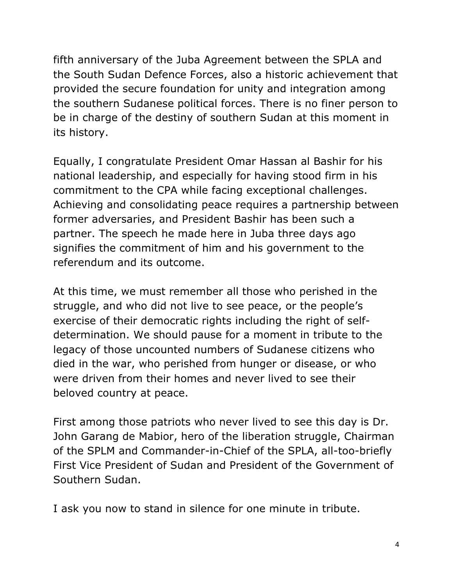fifth anniversary of the Juba Agreement between the SPLA and the South Sudan Defence Forces, also a historic achievement that provided the secure foundation for unity and integration among the southern Sudanese political forces. There is no finer person to be in charge of the destiny of southern Sudan at this moment in its history.

Equally, I congratulate President Omar Hassan al Bashir for his national leadership, and especially for having stood firm in his commitment to the CPA while facing exceptional challenges. Achieving and consolidating peace requires a partnership between former adversaries, and President Bashir has been such a partner. The speech he made here in Juba three days ago signifies the commitment of him and his government to the referendum and its outcome.

At this time, we must remember all those who perished in the struggle, and who did not live to see peace, or the people's exercise of their democratic rights including the right of selfdetermination. We should pause for a moment in tribute to the legacy of those uncounted numbers of Sudanese citizens who died in the war, who perished from hunger or disease, or who were driven from their homes and never lived to see their beloved country at peace.

First among those patriots who never lived to see this day is Dr. John Garang de Mabior, hero of the liberation struggle, Chairman of the SPLM and Commander-in-Chief of the SPLA, all-too-briefly First Vice President of Sudan and President of the Government of Southern Sudan.

I ask you now to stand in silence for one minute in tribute.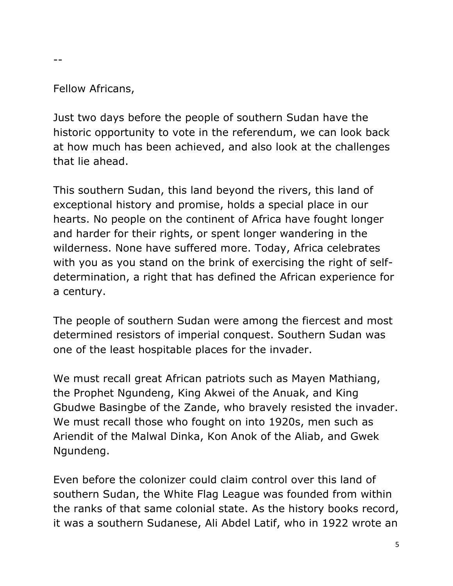## Fellow Africans,

 $- -$ 

Just two days before the people of southern Sudan have the historic opportunity to vote in the referendum, we can look back at how much has been achieved, and also look at the challenges that lie ahead.

This southern Sudan, this land beyond the rivers, this land of exceptional history and promise, holds a special place in our hearts. No people on the continent of Africa have fought longer and harder for their rights, or spent longer wandering in the wilderness. None have suffered more. Today, Africa celebrates with you as you stand on the brink of exercising the right of selfdetermination, a right that has defined the African experience for a century.

The people of southern Sudan were among the fiercest and most determined resistors of imperial conquest. Southern Sudan was one of the least hospitable places for the invader.

We must recall great African patriots such as Mayen Mathiang, the Prophet Ngundeng, King Akwei of the Anuak, and King Gbudwe Basingbe of the Zande, who bravely resisted the invader. We must recall those who fought on into 1920s, men such as Ariendit of the Malwal Dinka, Kon Anok of the Aliab, and Gwek Ngundeng.

Even before the colonizer could claim control over this land of southern Sudan, the White Flag League was founded from within the ranks of that same colonial state. As the history books record, it was a southern Sudanese, Ali Abdel Latif, who in 1922 wrote an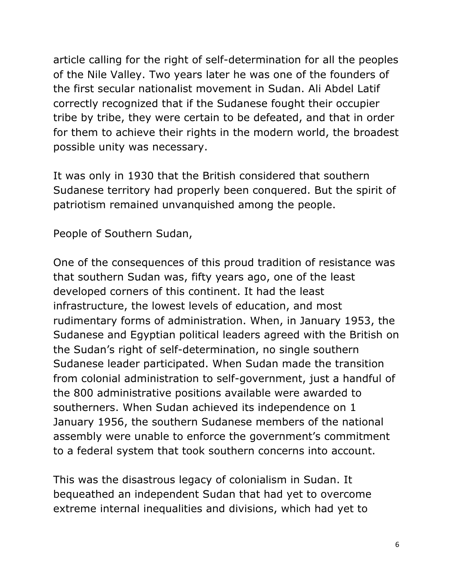article calling for the right of self-determination for all the peoples of the Nile Valley. Two years later he was one of the founders of the first secular nationalist movement in Sudan. Ali Abdel Latif correctly recognized that if the Sudanese fought their occupier tribe by tribe, they were certain to be defeated, and that in order for them to achieve their rights in the modern world, the broadest possible unity was necessary.

It was only in 1930 that the British considered that southern Sudanese territory had properly been conquered. But the spirit of patriotism remained unvanquished among the people.

People of Southern Sudan,

One of the consequences of this proud tradition of resistance was that southern Sudan was, fifty years ago, one of the least developed corners of this continent. It had the least infrastructure, the lowest levels of education, and most rudimentary forms of administration. When, in January 1953, the Sudanese and Egyptian political leaders agreed with the British on the Sudan's right of self-determination, no single southern Sudanese leader participated. When Sudan made the transition from colonial administration to self-government, just a handful of the 800 administrative positions available were awarded to southerners. When Sudan achieved its independence on 1 January 1956, the southern Sudanese members of the national assembly were unable to enforce the government's commitment to a federal system that took southern concerns into account.

This was the disastrous legacy of colonialism in Sudan. It bequeathed an independent Sudan that had yet to overcome extreme internal inequalities and divisions, which had yet to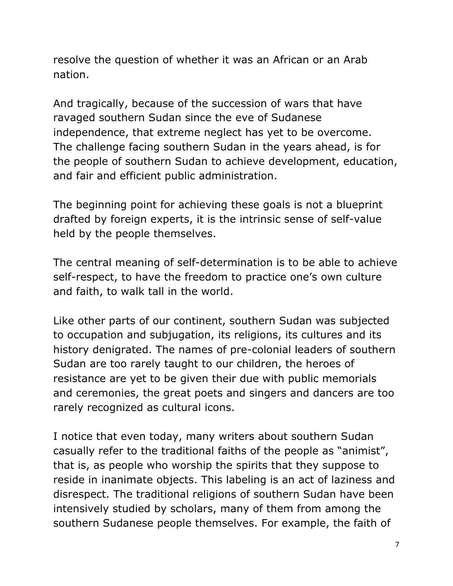resolve the question of whether it was an African or an Arab nation.

And tragically, because of the succession of wars that have ravaged southern Sudan since the eve of Sudanese independence, that extreme neglect has yet to be overcome. The challenge facing southern Sudan in the years ahead, is for the people of southern Sudan to achieve development, education, and fair and efficient public administration.

The beginning point for achieving these goals is not a blueprint drafted by foreign experts, it is the intrinsic sense of self-value held by the people themselves.

The central meaning of self-determination is to be able to achieve self-respect, to have the freedom to practice one's own culture and faith, to walk tall in the world.

Like other parts of our continent, southern Sudan was subjected to occupation and subjugation, its religions, its cultures and its history denigrated. The names of pre-colonial leaders of southern Sudan are too rarely taught to our children, the heroes of resistance are yet to be given their due with public memorials and ceremonies, the great poets and singers and dancers are too rarely recognized as cultural icons.

I notice that even today, many writers about southern Sudan casually refer to the traditional faiths of the people as "animist", that is, as people who worship the spirits that they suppose to reside in inanimate objects. This labeling is an act of laziness and disrespect. The traditional religions of southern Sudan have been intensively studied by scholars, many of them from among the southern Sudanese people themselves. For example, the faith of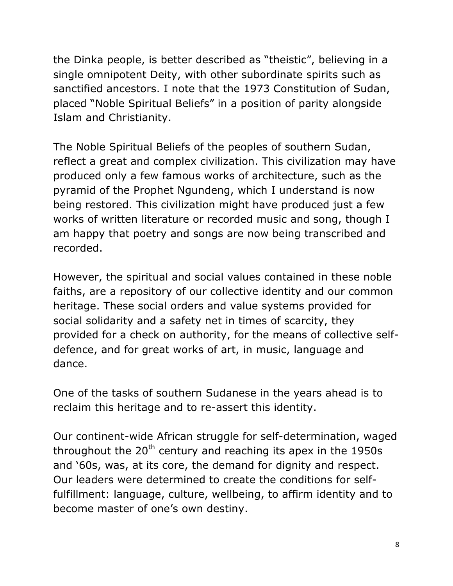the Dinka people, is better described as "theistic", believing in a single omnipotent Deity, with other subordinate spirits such as sanctified ancestors. I note that the 1973 Constitution of Sudan, placed "Noble Spiritual Beliefs" in a position of parity alongside Islam and Christianity.

The Noble Spiritual Beliefs of the peoples of southern Sudan, reflect a great and complex civilization. This civilization may have produced only a few famous works of architecture, such as the pyramid of the Prophet Ngundeng, which I understand is now being restored. This civilization might have produced just a few works of written literature or recorded music and song, though I am happy that poetry and songs are now being transcribed and recorded.

However, the spiritual and social values contained in these noble faiths, are a repository of our collective identity and our common heritage. These social orders and value systems provided for social solidarity and a safety net in times of scarcity, they provided for a check on authority, for the means of collective selfdefence, and for great works of art, in music, language and dance.

One of the tasks of southern Sudanese in the years ahead is to reclaim this heritage and to re-assert this identity.

Our continent-wide African struggle for self-determination, waged throughout the  $20<sup>th</sup>$  century and reaching its apex in the 1950s and '60s, was, at its core, the demand for dignity and respect. Our leaders were determined to create the conditions for selffulfillment: language, culture, wellbeing, to affirm identity and to become master of one's own destiny.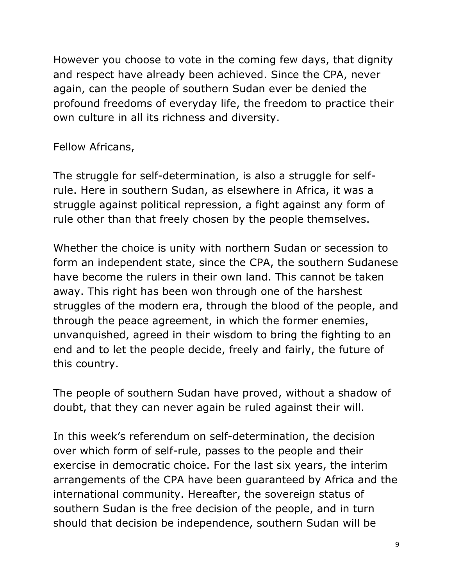However you choose to vote in the coming few days, that dignity and respect have already been achieved. Since the CPA, never again, can the people of southern Sudan ever be denied the profound freedoms of everyday life, the freedom to practice their own culture in all its richness and diversity.

## Fellow Africans,

The struggle for self-determination, is also a struggle for selfrule. Here in southern Sudan, as elsewhere in Africa, it was a struggle against political repression, a fight against any form of rule other than that freely chosen by the people themselves.

Whether the choice is unity with northern Sudan or secession to form an independent state, since the CPA, the southern Sudanese have become the rulers in their own land. This cannot be taken away. This right has been won through one of the harshest struggles of the modern era, through the blood of the people, and through the peace agreement, in which the former enemies, unvanquished, agreed in their wisdom to bring the fighting to an end and to let the people decide, freely and fairly, the future of this country.

The people of southern Sudan have proved, without a shadow of doubt, that they can never again be ruled against their will.

In this week's referendum on self-determination, the decision over which form of self-rule, passes to the people and their exercise in democratic choice. For the last six years, the interim arrangements of the CPA have been guaranteed by Africa and the international community. Hereafter, the sovereign status of southern Sudan is the free decision of the people, and in turn should that decision be independence, southern Sudan will be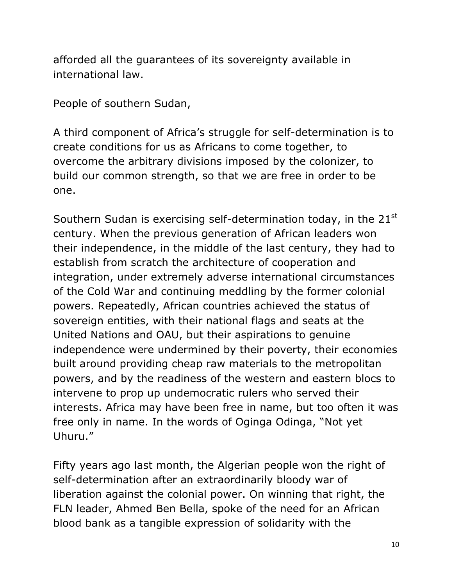afforded all the guarantees of its sovereignty available in international law.

People of southern Sudan,

A third component of Africa's struggle for self-determination is to create conditions for us as Africans to come together, to overcome the arbitrary divisions imposed by the colonizer, to build our common strength, so that we are free in order to be one.

Southern Sudan is exercising self-determination today, in the 21<sup>st</sup> century. When the previous generation of African leaders won their independence, in the middle of the last century, they had to establish from scratch the architecture of cooperation and integration, under extremely adverse international circumstances of the Cold War and continuing meddling by the former colonial powers. Repeatedly, African countries achieved the status of sovereign entities, with their national flags and seats at the United Nations and OAU, but their aspirations to genuine independence were undermined by their poverty, their economies built around providing cheap raw materials to the metropolitan powers, and by the readiness of the western and eastern blocs to intervene to prop up undemocratic rulers who served their interests. Africa may have been free in name, but too often it was free only in name. In the words of Oginga Odinga, "Not yet Uhuru."

Fifty years ago last month, the Algerian people won the right of self-determination after an extraordinarily bloody war of liberation against the colonial power. On winning that right, the FLN leader, Ahmed Ben Bella, spoke of the need for an African blood bank as a tangible expression of solidarity with the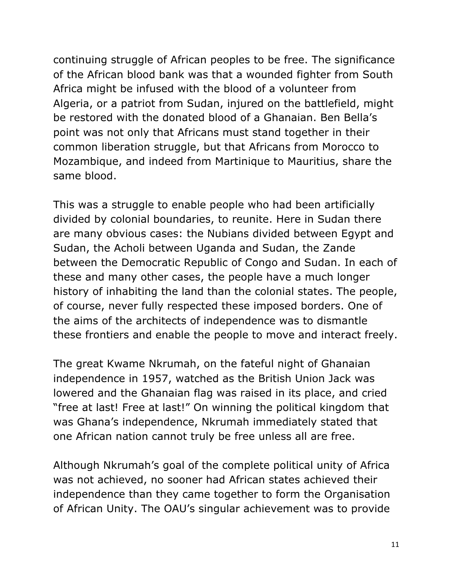continuing struggle of African peoples to be free. The significance of the African blood bank was that a wounded fighter from South Africa might be infused with the blood of a volunteer from Algeria, or a patriot from Sudan, injured on the battlefield, might be restored with the donated blood of a Ghanaian. Ben Bella's point was not only that Africans must stand together in their common liberation struggle, but that Africans from Morocco to Mozambique, and indeed from Martinique to Mauritius, share the same blood.

This was a struggle to enable people who had been artificially divided by colonial boundaries, to reunite. Here in Sudan there are many obvious cases: the Nubians divided between Egypt and Sudan, the Acholi between Uganda and Sudan, the Zande between the Democratic Republic of Congo and Sudan. In each of these and many other cases, the people have a much longer history of inhabiting the land than the colonial states. The people, of course, never fully respected these imposed borders. One of the aims of the architects of independence was to dismantle these frontiers and enable the people to move and interact freely.

The great Kwame Nkrumah, on the fateful night of Ghanaian independence in 1957, watched as the British Union Jack was lowered and the Ghanaian flag was raised in its place, and cried "free at last! Free at last!" On winning the political kingdom that was Ghana's independence, Nkrumah immediately stated that one African nation cannot truly be free unless all are free.

Although Nkrumah's goal of the complete political unity of Africa was not achieved, no sooner had African states achieved their independence than they came together to form the Organisation of African Unity. The OAU's singular achievement was to provide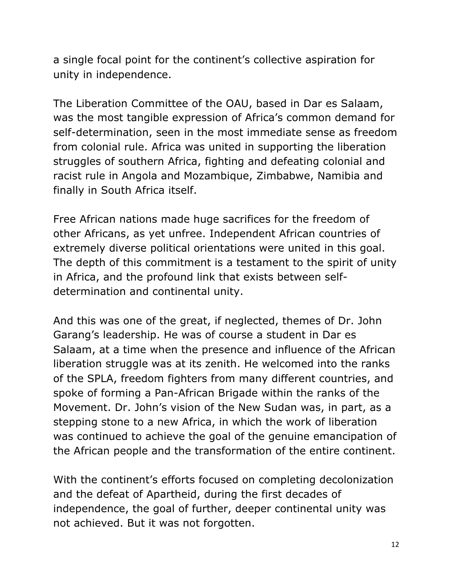a single focal point for the continent's collective aspiration for unity in independence.

The Liberation Committee of the OAU, based in Dar es Salaam, was the most tangible expression of Africa's common demand for self-determination, seen in the most immediate sense as freedom from colonial rule. Africa was united in supporting the liberation struggles of southern Africa, fighting and defeating colonial and racist rule in Angola and Mozambique, Zimbabwe, Namibia and finally in South Africa itself.

Free African nations made huge sacrifices for the freedom of other Africans, as yet unfree. Independent African countries of extremely diverse political orientations were united in this goal. The depth of this commitment is a testament to the spirit of unity in Africa, and the profound link that exists between selfdetermination and continental unity.

And this was one of the great, if neglected, themes of Dr. John Garang's leadership. He was of course a student in Dar es Salaam, at a time when the presence and influence of the African liberation struggle was at its zenith. He welcomed into the ranks of the SPLA, freedom fighters from many different countries, and spoke of forming a Pan-African Brigade within the ranks of the Movement. Dr. John's vision of the New Sudan was, in part, as a stepping stone to a new Africa, in which the work of liberation was continued to achieve the goal of the genuine emancipation of the African people and the transformation of the entire continent.

With the continent's efforts focused on completing decolonization and the defeat of Apartheid, during the first decades of independence, the goal of further, deeper continental unity was not achieved. But it was not forgotten.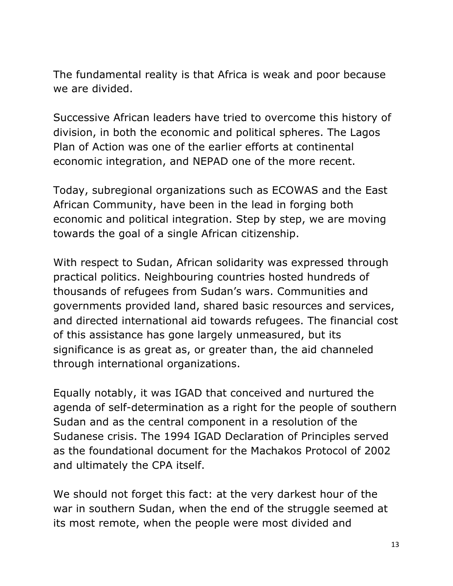The fundamental reality is that Africa is weak and poor because we are divided.

Successive African leaders have tried to overcome this history of division, in both the economic and political spheres. The Lagos Plan of Action was one of the earlier efforts at continental economic integration, and NEPAD one of the more recent.

Today, subregional organizations such as ECOWAS and the East African Community, have been in the lead in forging both economic and political integration. Step by step, we are moving towards the goal of a single African citizenship.

With respect to Sudan, African solidarity was expressed through practical politics. Neighbouring countries hosted hundreds of thousands of refugees from Sudan's wars. Communities and governments provided land, shared basic resources and services, and directed international aid towards refugees. The financial cost of this assistance has gone largely unmeasured, but its significance is as great as, or greater than, the aid channeled through international organizations.

Equally notably, it was IGAD that conceived and nurtured the agenda of self-determination as a right for the people of southern Sudan and as the central component in a resolution of the Sudanese crisis. The 1994 IGAD Declaration of Principles served as the foundational document for the Machakos Protocol of 2002 and ultimately the CPA itself.

We should not forget this fact: at the very darkest hour of the war in southern Sudan, when the end of the struggle seemed at its most remote, when the people were most divided and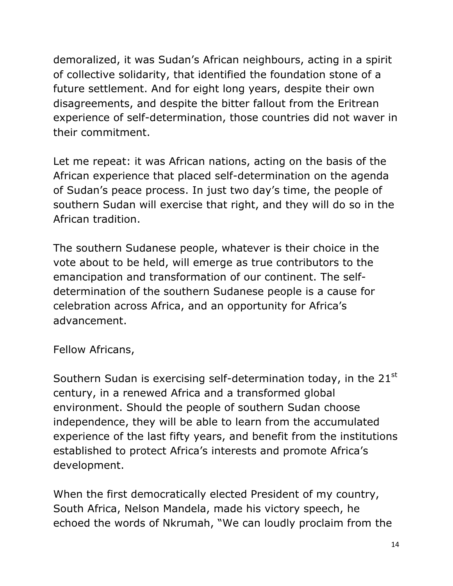demoralized, it was Sudan's African neighbours, acting in a spirit of collective solidarity, that identified the foundation stone of a future settlement. And for eight long years, despite their own disagreements, and despite the bitter fallout from the Eritrean experience of self-determination, those countries did not waver in their commitment.

Let me repeat: it was African nations, acting on the basis of the African experience that placed self-determination on the agenda of Sudan's peace process. In just two day's time, the people of southern Sudan will exercise that right, and they will do so in the African tradition.

The southern Sudanese people, whatever is their choice in the vote about to be held, will emerge as true contributors to the emancipation and transformation of our continent. The selfdetermination of the southern Sudanese people is a cause for celebration across Africa, and an opportunity for Africa's advancement.

Fellow Africans,

Southern Sudan is exercising self-determination today, in the 21<sup>st</sup> century, in a renewed Africa and a transformed global environment. Should the people of southern Sudan choose independence, they will be able to learn from the accumulated experience of the last fifty years, and benefit from the institutions established to protect Africa's interests and promote Africa's development.

When the first democratically elected President of my country, South Africa, Nelson Mandela, made his victory speech, he echoed the words of Nkrumah, "We can loudly proclaim from the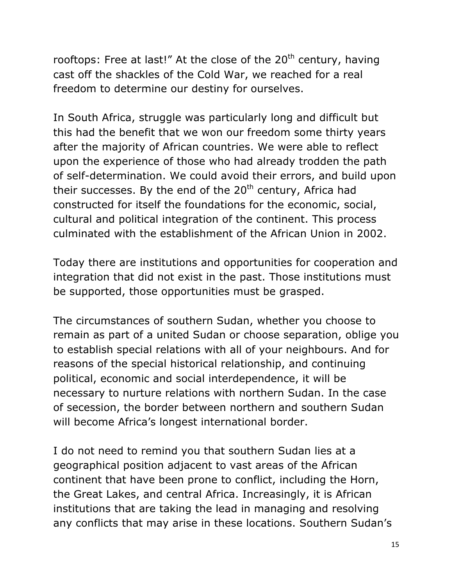rooftops: Free at last!" At the close of the  $20<sup>th</sup>$  century, having cast off the shackles of the Cold War, we reached for a real freedom to determine our destiny for ourselves.

In South Africa, struggle was particularly long and difficult but this had the benefit that we won our freedom some thirty years after the majority of African countries. We were able to reflect upon the experience of those who had already trodden the path of self-determination. We could avoid their errors, and build upon their successes. By the end of the  $20<sup>th</sup>$  century, Africa had constructed for itself the foundations for the economic, social, cultural and political integration of the continent. This process culminated with the establishment of the African Union in 2002.

Today there are institutions and opportunities for cooperation and integration that did not exist in the past. Those institutions must be supported, those opportunities must be grasped.

The circumstances of southern Sudan, whether you choose to remain as part of a united Sudan or choose separation, oblige you to establish special relations with all of your neighbours. And for reasons of the special historical relationship, and continuing political, economic and social interdependence, it will be necessary to nurture relations with northern Sudan. In the case of secession, the border between northern and southern Sudan will become Africa's longest international border.

I do not need to remind you that southern Sudan lies at a geographical position adjacent to vast areas of the African continent that have been prone to conflict, including the Horn, the Great Lakes, and central Africa. Increasingly, it is African institutions that are taking the lead in managing and resolving any conflicts that may arise in these locations. Southern Sudan's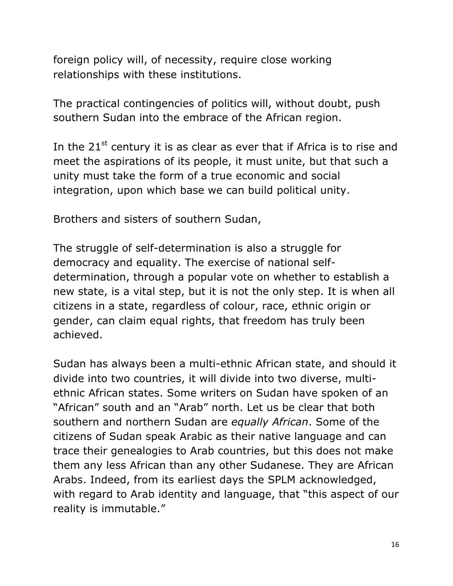foreign policy will, of necessity, require close working relationships with these institutions.

The practical contingencies of politics will, without doubt, push southern Sudan into the embrace of the African region.

In the  $21<sup>st</sup>$  century it is as clear as ever that if Africa is to rise and meet the aspirations of its people, it must unite, but that such a unity must take the form of a true economic and social integration, upon which base we can build political unity.

Brothers and sisters of southern Sudan,

The struggle of self-determination is also a struggle for democracy and equality. The exercise of national selfdetermination, through a popular vote on whether to establish a new state, is a vital step, but it is not the only step. It is when all citizens in a state, regardless of colour, race, ethnic origin or gender, can claim equal rights, that freedom has truly been achieved.

Sudan has always been a multi-ethnic African state, and should it divide into two countries, it will divide into two diverse, multiethnic African states. Some writers on Sudan have spoken of an "African" south and an "Arab" north. Let us be clear that both southern and northern Sudan are *equally African*. Some of the citizens of Sudan speak Arabic as their native language and can trace their genealogies to Arab countries, but this does not make them any less African than any other Sudanese. They are African Arabs. Indeed, from its earliest days the SPLM acknowledged, with regard to Arab identity and language, that "this aspect of our reality is immutable."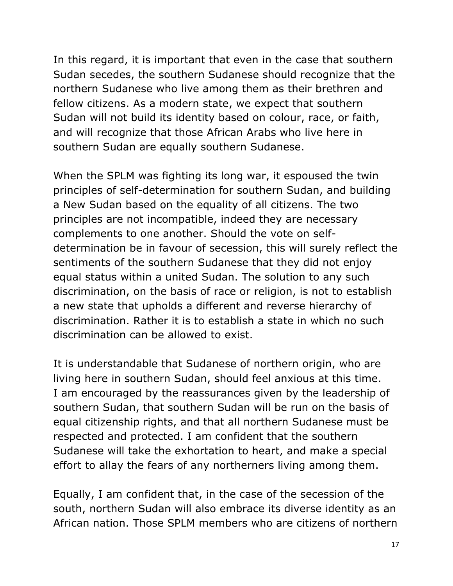In this regard, it is important that even in the case that southern Sudan secedes, the southern Sudanese should recognize that the northern Sudanese who live among them as their brethren and fellow citizens. As a modern state, we expect that southern Sudan will not build its identity based on colour, race, or faith, and will recognize that those African Arabs who live here in southern Sudan are equally southern Sudanese.

When the SPLM was fighting its long war, it espoused the twin principles of self-determination for southern Sudan, and building a New Sudan based on the equality of all citizens. The two principles are not incompatible, indeed they are necessary complements to one another. Should the vote on selfdetermination be in favour of secession, this will surely reflect the sentiments of the southern Sudanese that they did not enjoy equal status within a united Sudan. The solution to any such discrimination, on the basis of race or religion, is not to establish a new state that upholds a different and reverse hierarchy of discrimination. Rather it is to establish a state in which no such discrimination can be allowed to exist.

It is understandable that Sudanese of northern origin, who are living here in southern Sudan, should feel anxious at this time. I am encouraged by the reassurances given by the leadership of southern Sudan, that southern Sudan will be run on the basis of equal citizenship rights, and that all northern Sudanese must be respected and protected. I am confident that the southern Sudanese will take the exhortation to heart, and make a special effort to allay the fears of any northerners living among them.

Equally, I am confident that, in the case of the secession of the south, northern Sudan will also embrace its diverse identity as an African nation. Those SPLM members who are citizens of northern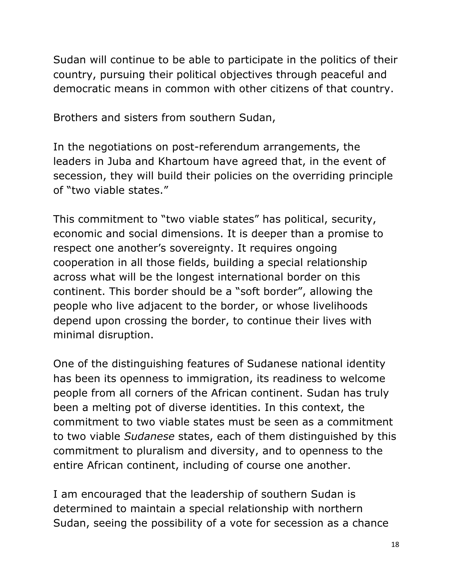Sudan will continue to be able to participate in the politics of their country, pursuing their political objectives through peaceful and democratic means in common with other citizens of that country.

Brothers and sisters from southern Sudan,

In the negotiations on post-referendum arrangements, the leaders in Juba and Khartoum have agreed that, in the event of secession, they will build their policies on the overriding principle of "two viable states."

This commitment to "two viable states" has political, security, economic and social dimensions. It is deeper than a promise to respect one another's sovereignty. It requires ongoing cooperation in all those fields, building a special relationship across what will be the longest international border on this continent. This border should be a "soft border", allowing the people who live adjacent to the border, or whose livelihoods depend upon crossing the border, to continue their lives with minimal disruption.

One of the distinguishing features of Sudanese national identity has been its openness to immigration, its readiness to welcome people from all corners of the African continent. Sudan has truly been a melting pot of diverse identities. In this context, the commitment to two viable states must be seen as a commitment to two viable *Sudanese* states, each of them distinguished by this commitment to pluralism and diversity, and to openness to the entire African continent, including of course one another.

I am encouraged that the leadership of southern Sudan is determined to maintain a special relationship with northern Sudan, seeing the possibility of a vote for secession as a chance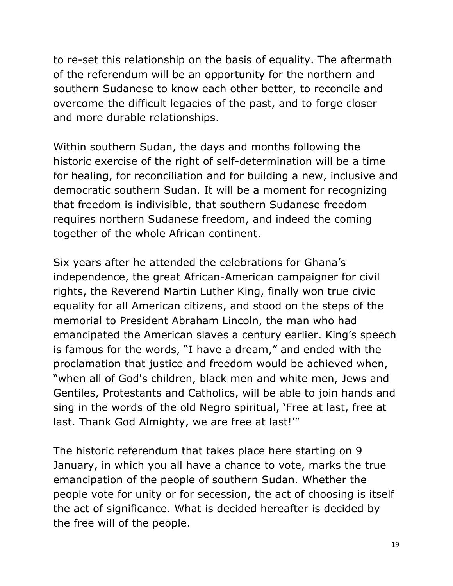to re-set this relationship on the basis of equality. The aftermath of the referendum will be an opportunity for the northern and southern Sudanese to know each other better, to reconcile and overcome the difficult legacies of the past, and to forge closer and more durable relationships.

Within southern Sudan, the days and months following the historic exercise of the right of self-determination will be a time for healing, for reconciliation and for building a new, inclusive and democratic southern Sudan. It will be a moment for recognizing that freedom is indivisible, that southern Sudanese freedom requires northern Sudanese freedom, and indeed the coming together of the whole African continent.

Six years after he attended the celebrations for Ghana's independence, the great African-American campaigner for civil rights, the Reverend Martin Luther King, finally won true civic equality for all American citizens, and stood on the steps of the memorial to President Abraham Lincoln, the man who had emancipated the American slaves a century earlier. King's speech is famous for the words, "I have a dream," and ended with the proclamation that justice and freedom would be achieved when, "when all of God's children, black men and white men, Jews and Gentiles, Protestants and Catholics, will be able to join hands and sing in the words of the old Negro spiritual, 'Free at last, free at last. Thank God Almighty, we are free at last!'"

The historic referendum that takes place here starting on 9 January, in which you all have a chance to vote, marks the true emancipation of the people of southern Sudan. Whether the people vote for unity or for secession, the act of choosing is itself the act of significance. What is decided hereafter is decided by the free will of the people.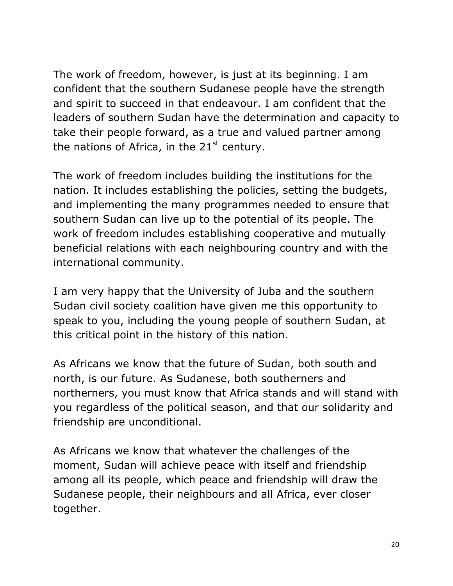The work of freedom, however, is just at its beginning. I am confident that the southern Sudanese people have the strength and spirit to succeed in that endeavour. I am confident that the leaders of southern Sudan have the determination and capacity to take their people forward, as a true and valued partner among the nations of Africa, in the  $21<sup>st</sup>$  century.

The work of freedom includes building the institutions for the nation. It includes establishing the policies, setting the budgets, and implementing the many programmes needed to ensure that southern Sudan can live up to the potential of its people. The work of freedom includes establishing cooperative and mutually beneficial relations with each neighbouring country and with the international community.

I am very happy that the University of Juba and the southern Sudan civil society coalition have given me this opportunity to speak to you, including the young people of southern Sudan, at this critical point in the history of this nation.

As Africans we know that the future of Sudan, both south and north, is our future. As Sudanese, both southerners and northerners, you must know that Africa stands and will stand with you regardless of the political season, and that our solidarity and friendship are unconditional.

As Africans we know that whatever the challenges of the moment, Sudan will achieve peace with itself and friendship among all its people, which peace and friendship will draw the Sudanese people, their neighbours and all Africa, ever closer together.